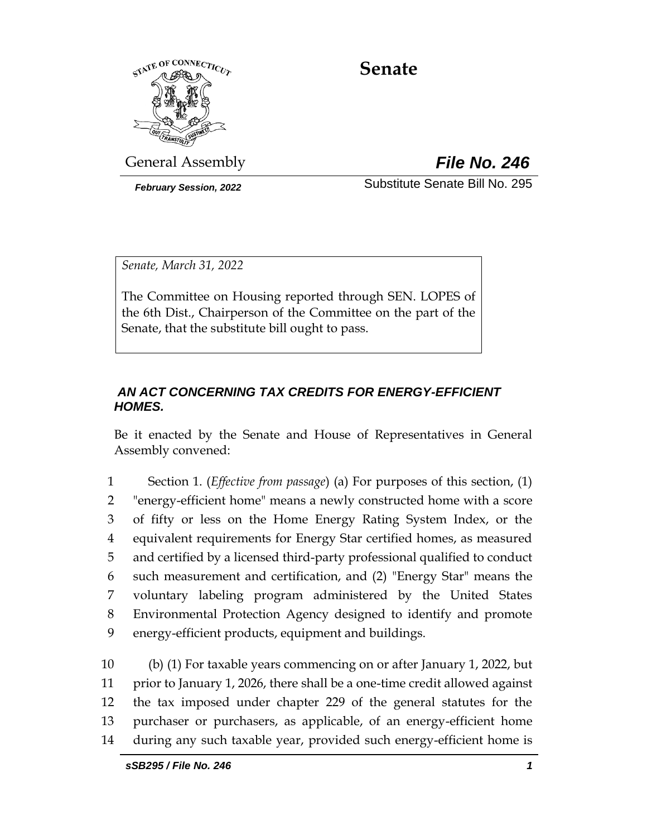

# **Senate**

General Assembly *File No. 246*

*February Session, 2022* Substitute Senate Bill No. 295

*Senate, March 31, 2022*

The Committee on Housing reported through SEN. LOPES of the 6th Dist., Chairperson of the Committee on the part of the Senate, that the substitute bill ought to pass.

### *AN ACT CONCERNING TAX CREDITS FOR ENERGY-EFFICIENT HOMES.*

Be it enacted by the Senate and House of Representatives in General Assembly convened:

 Section 1. (*Effective from passage*) (a) For purposes of this section, (1) "energy-efficient home" means a newly constructed home with a score of fifty or less on the Home Energy Rating System Index, or the equivalent requirements for Energy Star certified homes, as measured and certified by a licensed third-party professional qualified to conduct such measurement and certification, and (2) "Energy Star" means the voluntary labeling program administered by the United States Environmental Protection Agency designed to identify and promote energy-efficient products, equipment and buildings.

 (b) (1) For taxable years commencing on or after January 1, 2022, but prior to January 1, 2026, there shall be a one-time credit allowed against the tax imposed under chapter 229 of the general statutes for the purchaser or purchasers, as applicable, of an energy-efficient home during any such taxable year, provided such energy-efficient home is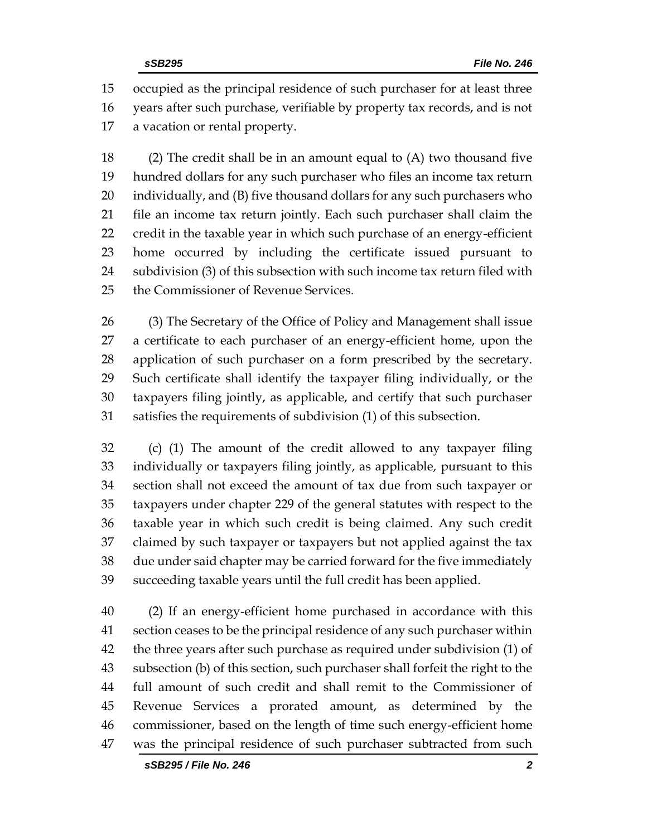occupied as the principal residence of such purchaser for at least three years after such purchase, verifiable by property tax records, and is not a vacation or rental property.

 (2) The credit shall be in an amount equal to (A) two thousand five hundred dollars for any such purchaser who files an income tax return individually, and (B) five thousand dollars for any such purchasers who file an income tax return jointly. Each such purchaser shall claim the credit in the taxable year in which such purchase of an energy-efficient home occurred by including the certificate issued pursuant to subdivision (3) of this subsection with such income tax return filed with the Commissioner of Revenue Services.

 (3) The Secretary of the Office of Policy and Management shall issue a certificate to each purchaser of an energy-efficient home, upon the application of such purchaser on a form prescribed by the secretary. Such certificate shall identify the taxpayer filing individually, or the taxpayers filing jointly, as applicable, and certify that such purchaser satisfies the requirements of subdivision (1) of this subsection.

 (c) (1) The amount of the credit allowed to any taxpayer filing individually or taxpayers filing jointly, as applicable, pursuant to this section shall not exceed the amount of tax due from such taxpayer or taxpayers under chapter 229 of the general statutes with respect to the taxable year in which such credit is being claimed. Any such credit claimed by such taxpayer or taxpayers but not applied against the tax due under said chapter may be carried forward for the five immediately succeeding taxable years until the full credit has been applied.

 (2) If an energy-efficient home purchased in accordance with this section ceases to be the principal residence of any such purchaser within the three years after such purchase as required under subdivision (1) of subsection (b) of this section, such purchaser shall forfeit the right to the full amount of such credit and shall remit to the Commissioner of Revenue Services a prorated amount, as determined by the commissioner, based on the length of time such energy-efficient home was the principal residence of such purchaser subtracted from such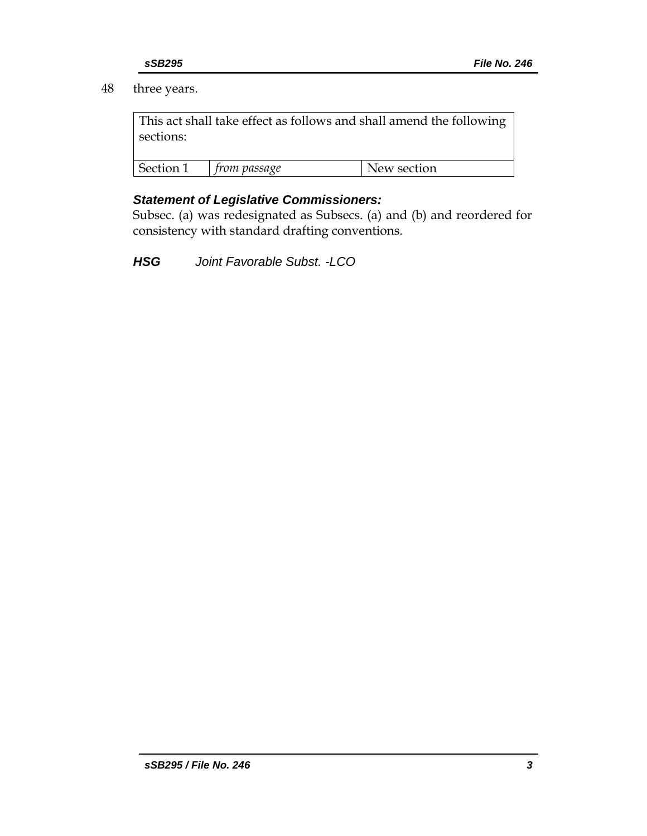### 48 three years.

This act shall take effect as follows and shall amend the following sections:

| Section 1 | rom passage | New section |
|-----------|-------------|-------------|

### *Statement of Legislative Commissioners:*

Subsec. (a) was redesignated as Subsecs. (a) and (b) and reordered for consistency with standard drafting conventions.

*HSG Joint Favorable Subst. -LCO*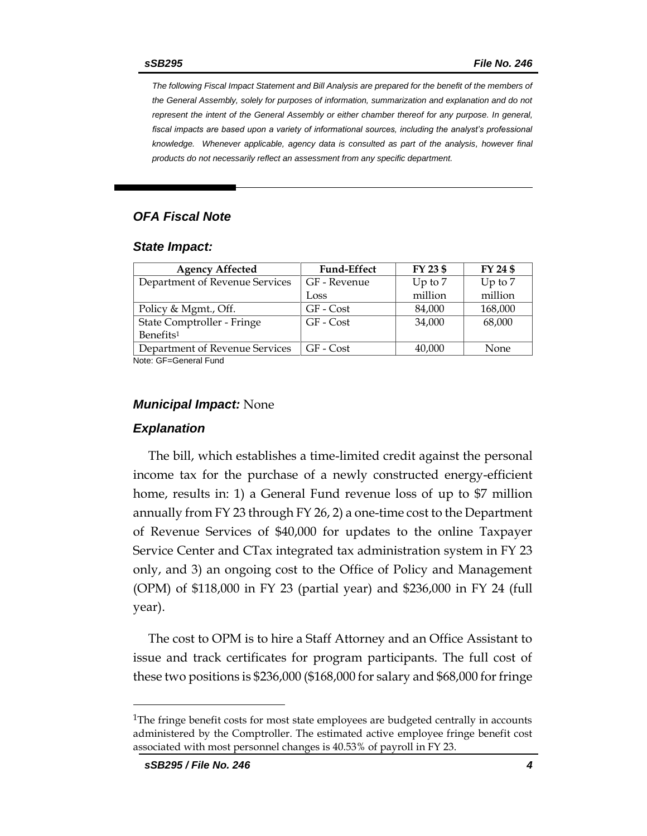*The following Fiscal Impact Statement and Bill Analysis are prepared for the benefit of the members of the General Assembly, solely for purposes of information, summarization and explanation and do not represent the intent of the General Assembly or either chamber thereof for any purpose. In general,*  fiscal impacts are based upon a variety of informational sources, including the analyst's professional *knowledge. Whenever applicable, agency data is consulted as part of the analysis, however final products do not necessarily reflect an assessment from any specific department.*

### *OFA Fiscal Note*

#### *State Impact:*

| <b>Agency Affected</b>         | <b>Fund-Effect</b> | FY 23 \$  | FY 24 \$  |  |
|--------------------------------|--------------------|-----------|-----------|--|
| Department of Revenue Services | GF - Revenue       | Up to $7$ | Up to $7$ |  |
|                                | Loss               | million   | million   |  |
| Policy & Mgmt., Off.           | GF - Cost          | 84,000    | 168,000   |  |
| State Comptroller - Fringe     | GF - Cost          | 34,000    | 68,000    |  |
| Benefits <sup>1</sup>          |                    |           |           |  |
| Department of Revenue Services | GF - Cost          | 40,000    | None      |  |
| .                              |                    |           |           |  |

Note: GF=General Fund

#### *Municipal Impact:* None

### *Explanation*

The bill, which establishes a time-limited credit against the personal income tax for the purchase of a newly constructed energy-efficient home, results in: 1) a General Fund revenue loss of up to \$7 million annually from FY 23 through FY 26, 2) a one-time cost to the Department of Revenue Services of \$40,000 for updates to the online Taxpayer Service Center and CTax integrated tax administration system in FY 23 only, and 3) an ongoing cost to the Office of Policy and Management (OPM) of \$118,000 in FY 23 (partial year) and \$236,000 in FY 24 (full year).

The cost to OPM is to hire a Staff Attorney and an Office Assistant to issue and track certificates for program participants. The full cost of these two positions is \$236,000 (\$168,000 for salary and \$68,000 for fringe

<sup>&</sup>lt;sup>1</sup>The fringe benefit costs for most state employees are budgeted centrally in accounts administered by the Comptroller. The estimated active employee fringe benefit cost associated with most personnel changes is 40.53% of payroll in FY 23.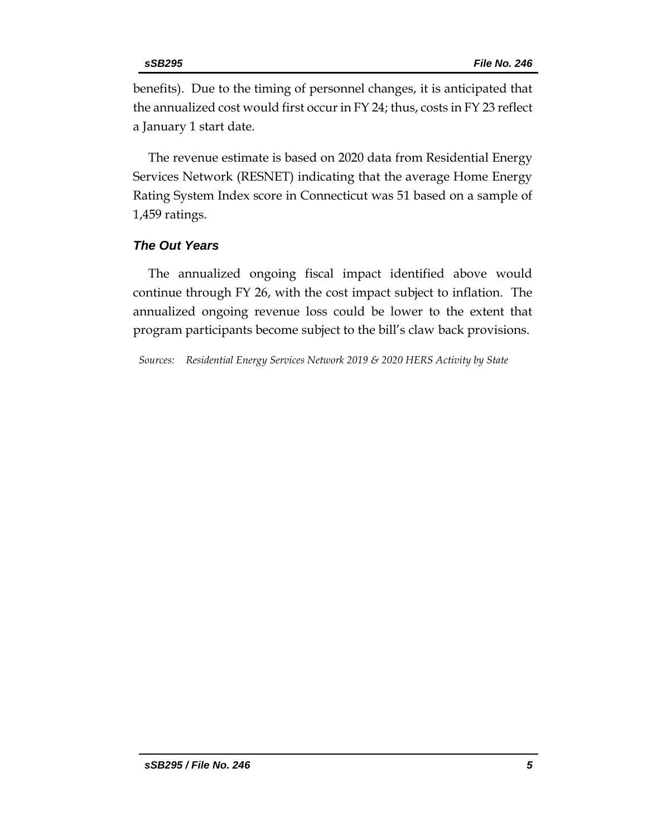benefits). Due to the timing of personnel changes, it is anticipated that the annualized cost would first occur in FY 24; thus, costs in FY 23 reflect a January 1 start date.

The revenue estimate is based on 2020 data from Residential Energy Services Network (RESNET) indicating that the average Home Energy Rating System Index score in Connecticut was 51 based on a sample of 1,459 ratings.

### *The Out Years*

The annualized ongoing fiscal impact identified above would continue through FY 26, with the cost impact subject to inflation. The annualized ongoing revenue loss could be lower to the extent that program participants become subject to the bill's claw back provisions.

*Sources: Residential Energy Services Network 2019 & 2020 HERS Activity by State*